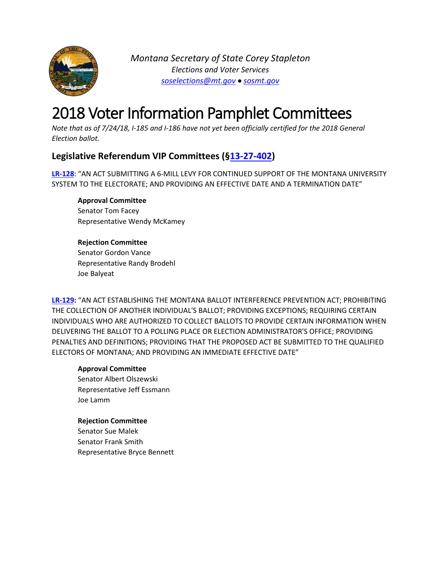

*Montana Secretary of State Corey Stapleton Elections and Voter Services [soselections@mt.gov](mailto:soselections@mt.gov)* • *[sosmt.gov](https://sosmt.gov/)*

# 2018 Voter Information Pamphlet Committees

*Note that as of 7/24/18, I-185 and I-186 have not yet been officially certified for the 2018 General Election ballot.* 

# **Legislative Referendum VIP Committees ([§13-27-402\)](https://leg.mt.gov/bills/mca/title_0130/chapter_0270/part_0040/section_0020/0130-0270-0040-0020.html)**

**[LR-128](https://sosmt.gov/wp-content/uploads/LR-128.pdf)**: "AN ACT SUBMITTING A 6-MILL LEVY FOR CONTINUED SUPPORT OF THE MONTANA UNIVERSITY SYSTEM TO THE ELECTORATE; AND PROVIDING AN EFFECTIVE DATE AND A TERMINATION DATE"

# **Approval Committee**

Senator Tom Facey Representative Wendy McKamey

## **Rejection Committee**

Senator Gordon Vance Representative Randy Brodehl Joe Balyeat

**[LR-129:](https://sosmt.gov/wp-content/uploads/LR-129.pdf)** "AN ACT ESTABLISHING THE MONTANA BALLOT INTERFERENCE PREVENTION ACT; PROHIBITING THE COLLECTION OF ANOTHER INDIVIDUAL'S BALLOT; PROVIDING EXCEPTIONS; REQUIRING CERTAIN INDIVIDUALS WHO ARE AUTHORIZED TO COLLECT BALLOTS TO PROVIDE CERTAIN INFORMATION WHEN DELIVERING THE BALLOT TO A POLLING PLACE OR ELECTION ADMINISTRATOR'S OFFICE; PROVIDING PENALTIES AND DEFINITIONS; PROVIDING THAT THE PROPOSED ACT BE SUBMITTED TO THE QUALIFIED ELECTORS OF MONTANA; AND PROVIDING AN IMMEDIATE EFFECTIVE DATE"

## **Approval Committee**

Senator Albert Olszewski Representative Jeff Essmann Joe Lamm

## **Rejection Committee**

Senator Sue Malek Senator Frank Smith Representative Bryce Bennett